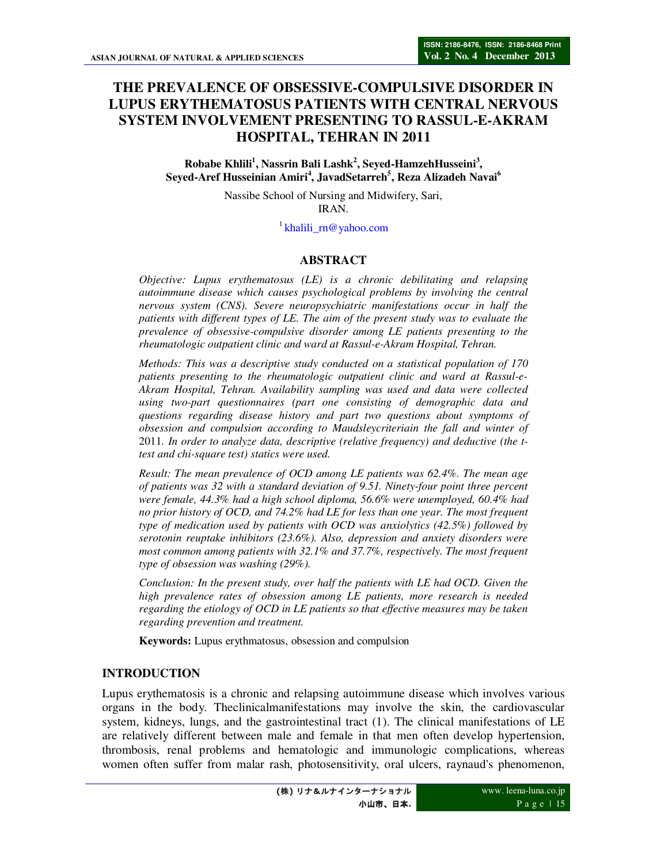# **THE PREVALENCE OF OBSESSIVE-COMPULSIVE DISORDER IN LUPUS ERYTHEMATOSUS PATIENTS WITH CENTRAL NERVOUS SYSTEM INVOLVEMENT PRESENTING TO RASSUL-E-AKRAM HOSPITAL, TEHRAN IN 2011**

#### **Robabe Khlili<sup>1</sup> , Nassrin Bali Lashk<sup>2</sup> , Seyed-HamzehHusseini<sup>3</sup> , Seyed-Aref Husseinian Amiri<sup>4</sup> , JavadSetarreh<sup>5</sup> , Reza Alizadeh Navai<sup>6</sup>**

Nassibe School of Nursing and Midwifery, Sari, IRAN.

<sup>1</sup>khalili\_rn@yahoo.com

### **ABSTRACT**

*Objective: Lupus erythematosus (LE) is a chronic debilitating and relapsing autoimmune disease which causes psychological problems by involving the central nervous system (CNS). Severe neuropsychiatric manifestations occur in half the patients with different types of LE. The aim of the present study was to evaluate the prevalence of obsessive-compulsive disorder among LE patients presenting to the rheumatologic outpatient clinic and ward at Rassul-e-Akram Hospital, Tehran.* 

*Methods: This was a descriptive study conducted on a statistical population of 170 patients presenting to the rheumatologic outpatient clinic and ward at Rassul-e-Akram Hospital, Tehran. Availability sampling was used and data were collected using two-part questionnaires (part one consisting of demographic data and questions regarding disease history and part two questions about symptoms of obsession and compulsion according to Maudsleycriteriain the fall and winter of*  2011*. In order to analyze data, descriptive (relative frequency) and deductive (the ttest and chi-square test) statics were used.* 

*Result: The mean prevalence of OCD among LE patients was 62.4%. The mean age of patients was 32 with a standard deviation of 9.51. Ninety-four point three percent were female, 44.3% had a high school diploma, 56.6% were unemployed, 60.4% had no prior history of OCD, and 74.2% had LE for less than one year. The most frequent type of medication used by patients with OCD was anxiolytics (42.5%) followed by serotonin reuptake inhibitors (23.6%). Also, depression and anxiety disorders were most common among patients with 32.1% and 37.7%, respectively. The most frequent type of obsession was washing (29%).* 

*Conclusion: In the present study, over half the patients with LE had OCD. Given the high prevalence rates of obsession among LE patients, more research is needed regarding the etiology of OCD in LE patients so that effective measures may be taken regarding prevention and treatment.* 

**Keywords:** Lupus erythmatosus, obsession and compulsion

#### **INTRODUCTION**

Lupus erythematosis is a chronic and relapsing autoimmune disease which involves various organs in the body. Theclinicalmanifestations may involve the skin, the cardiovascular system, kidneys, lungs, and the gastrointestinal tract (1). The clinical manifestations of LE are relatively different between male and female in that men often develop hypertension, thrombosis, renal problems and hematologic and immunologic complications, whereas women often suffer from malar rash, photosensitivity, oral ulcers, raynaud's phenomenon,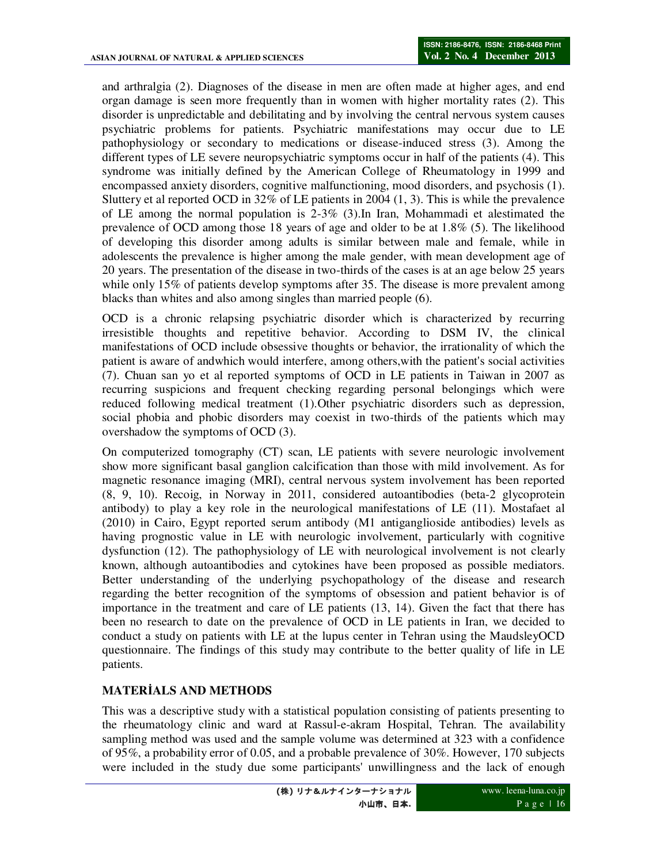and arthralgia (2). Diagnoses of the disease in men are often made at higher ages, and end organ damage is seen more frequently than in women with higher mortality rates (2). This disorder is unpredictable and debilitating and by involving the central nervous system causes psychiatric problems for patients. Psychiatric manifestations may occur due to LE pathophysiology or secondary to medications or disease-induced stress (3). Among the different types of LE severe neuropsychiatric symptoms occur in half of the patients (4). This syndrome was initially defined by the American College of Rheumatology in 1999 and encompassed anxiety disorders, cognitive malfunctioning, mood disorders, and psychosis (1). Sluttery et al reported OCD in  $32\%$  of LE patients in 2004 (1, 3). This is while the prevalence of LE among the normal population is 2-3% (3).In Iran, Mohammadi et alestimated the prevalence of OCD among those 18 years of age and older to be at 1.8% (5). The likelihood of developing this disorder among adults is similar between male and female, while in adolescents the prevalence is higher among the male gender, with mean development age of 20 years. The presentation of the disease in two-thirds of the cases is at an age below 25 years while only 15% of patients develop symptoms after 35. The disease is more prevalent among blacks than whites and also among singles than married people (6).

OCD is a chronic relapsing psychiatric disorder which is characterized by recurring irresistible thoughts and repetitive behavior. According to DSM IV, the clinical manifestations of OCD include obsessive thoughts or behavior, the irrationality of which the patient is aware of andwhich would interfere, among others,with the patient's social activities (7). Chuan san yo et al reported symptoms of OCD in LE patients in Taiwan in 2007 as recurring suspicions and frequent checking regarding personal belongings which were reduced following medical treatment (1).Other psychiatric disorders such as depression, social phobia and phobic disorders may coexist in two-thirds of the patients which may overshadow the symptoms of OCD (3).

On computerized tomography (CT) scan, LE patients with severe neurologic involvement show more significant basal ganglion calcification than those with mild involvement. As for magnetic resonance imaging (MRI), central nervous system involvement has been reported (8, 9, 10). Recoig, in Norway in 2011, considered autoantibodies (beta-2 glycoprotein antibody) to play a key role in the neurological manifestations of LE (11). Mostafaet al (2010) in Cairo, Egypt reported serum antibody (M1 antiganglioside antibodies) levels as having prognostic value in LE with neurologic involvement, particularly with cognitive dysfunction (12). The pathophysiology of LE with neurological involvement is not clearly known, although autoantibodies and cytokines have been proposed as possible mediators. Better understanding of the underlying psychopathology of the disease and research regarding the better recognition of the symptoms of obsession and patient behavior is of importance in the treatment and care of LE patients (13, 14). Given the fact that there has been no research to date on the prevalence of OCD in LE patients in Iran, we decided to conduct a study on patients with LE at the lupus center in Tehran using the MaudsleyOCD questionnaire. The findings of this study may contribute to the better quality of life in LE patients.

#### **MATERİALS AND METHODS**

This was a descriptive study with a statistical population consisting of patients presenting to the rheumatology clinic and ward at Rassul-e-akram Hospital, Tehran. The availability sampling method was used and the sample volume was determined at 323 with a confidence of 95%, a probability error of 0.05, and a probable prevalence of 30%. However, 170 subjects were included in the study due some participants' unwillingness and the lack of enough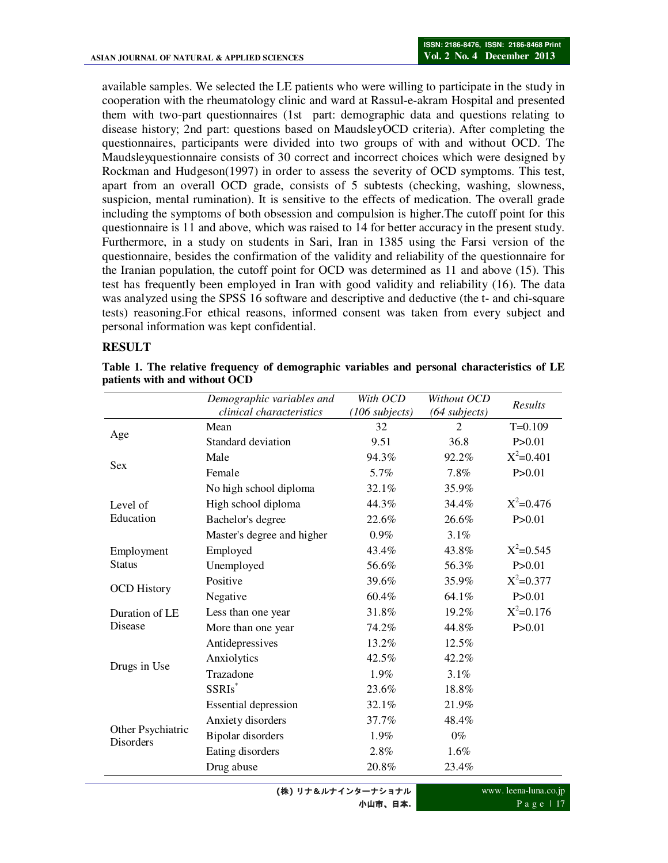available samples. We selected the LE patients who were willing to participate in the study in cooperation with the rheumatology clinic and ward at Rassul-e-akram Hospital and presented them with two-part questionnaires (1st part: demographic data and questions relating to disease history; 2nd part: questions based on MaudsleyOCD criteria). After completing the questionnaires, participants were divided into two groups of with and without OCD. The Maudsleyquestionnaire consists of 30 correct and incorrect choices which were designed by Rockman and Hudgeson(1997) in order to assess the severity of OCD symptoms. This test, apart from an overall OCD grade, consists of 5 subtests (checking, washing, slowness, suspicion, mental rumination). It is sensitive to the effects of medication. The overall grade including the symptoms of both obsession and compulsion is higher.The cutoff point for this questionnaire is 11 and above, which was raised to 14 for better accuracy in the present study. Furthermore, in a study on students in Sari, Iran in 1385 using the Farsi version of the questionnaire, besides the confirmation of the validity and reliability of the questionnaire for the Iranian population, the cutoff point for OCD was determined as 11 and above (15). This test has frequently been employed in Iran with good validity and reliability (16). The data was analyzed using the SPSS 16 software and descriptive and deductive (the t- and chi-square tests) reasoning.For ethical reasons, informed consent was taken from every subject and personal information was kept confidential.

#### **RESULT**

|                                       | Demographic variables and<br>clinical characteristics | With OCD<br>$(106$ subjects) | Without OCD<br>(64 subjects) | Results       |
|---------------------------------------|-------------------------------------------------------|------------------------------|------------------------------|---------------|
| Age                                   | Mean                                                  | 32                           | $\mathcal{D}_{\mathcal{L}}$  | $T=0.109$     |
|                                       | Standard deviation                                    | 9.51                         | 36.8                         | P > 0.01      |
| <b>Sex</b>                            | Male                                                  | 94.3%                        | 92.2%                        | $X^2=0.401$   |
|                                       | Female                                                | 5.7%                         | 7.8%                         | P > 0.01      |
| Level of<br>Education                 | No high school diploma                                | 32.1%                        | 35.9%                        |               |
|                                       | High school diploma                                   | 44.3%                        | 34.4%                        | $X^2 = 0.476$ |
|                                       | Bachelor's degree                                     | 22.6%                        | $26.6\%$                     | P > 0.01      |
|                                       | Master's degree and higher                            | $0.9\%$                      | 3.1%                         |               |
| Employment<br><b>Status</b>           | Employed                                              | 43.4%                        | 43.8%                        | $X^2 = 0.545$ |
|                                       | Unemployed                                            | 56.6%                        | 56.3%                        | P > 0.01      |
| <b>OCD History</b>                    | Positive                                              | 39.6%                        | 35.9%                        | $X^2 = 0.377$ |
|                                       | Negative                                              | 60.4%                        | 64.1%                        | P > 0.01      |
| Duration of LE<br>Disease             | Less than one year                                    | 31.8%                        | 19.2%                        | $X^2 = 0.176$ |
|                                       | More than one year                                    | 74.2%                        | 44.8%                        | P > 0.01      |
| Drugs in Use                          | Antidepressives                                       | 13.2%                        | 12.5%                        |               |
|                                       | Anxiolytics                                           | 42.5%                        | 42.2%                        |               |
|                                       | Trazadone                                             | 1.9%                         | 3.1%                         |               |
|                                       | SSRIs*                                                | 23.6%                        | 18.8%                        |               |
| Other Psychiatric<br><b>Disorders</b> | <b>Essential depression</b>                           | 32.1%                        | 21.9%                        |               |
|                                       | Anxiety disorders                                     | 37.7%                        | 48.4%                        |               |
|                                       | Bipolar disorders                                     | $1.9\%$                      | $0\%$                        |               |
|                                       | Eating disorders                                      | 2.8%                         | 1.6%                         |               |
|                                       | Drug abuse                                            | 20.8%                        | 23.4%                        |               |

**Table 1. The relative frequency of demographic variables and personal characteristics of LE patients with and without OCD**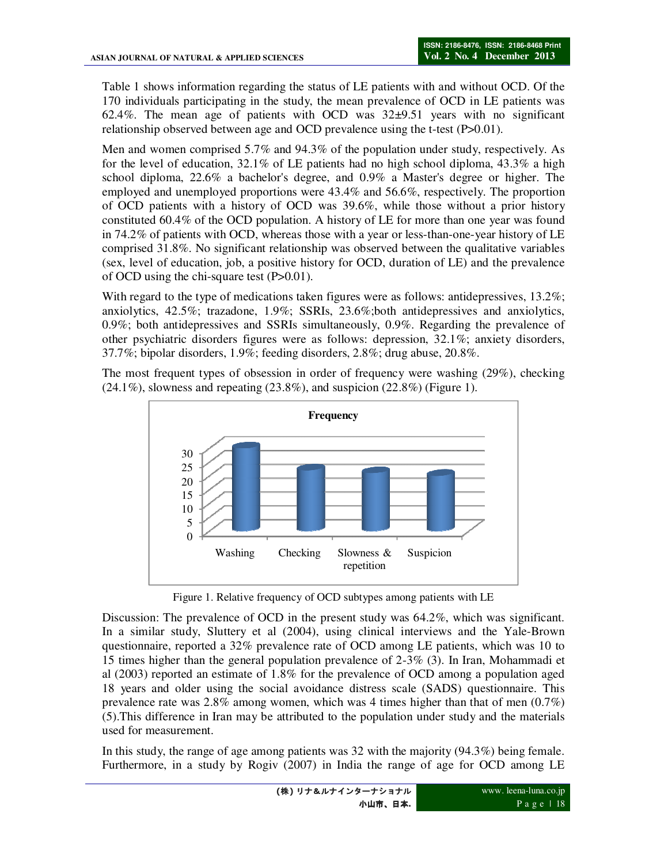Table 1 shows information regarding the status of LE patients with and without OCD. Of the 170 individuals participating in the study, the mean prevalence of OCD in LE patients was 62.4%. The mean age of patients with OCD was 32±9.51 years with no significant relationship observed between age and OCD prevalence using the t-test (P>0.01).

Men and women comprised 5.7% and 94.3% of the population under study, respectively. As for the level of education,  $32.1\%$  of LE patients had no high school diploma,  $43.3\%$  a high school diploma, 22.6% a bachelor's degree, and 0.9% a Master's degree or higher. The employed and unemployed proportions were 43.4% and 56.6%, respectively. The proportion of OCD patients with a history of OCD was 39.6%, while those without a prior history constituted 60.4% of the OCD population. A history of LE for more than one year was found in 74.2% of patients with OCD, whereas those with a year or less-than-one-year history of LE comprised 31.8%. No significant relationship was observed between the qualitative variables (sex, level of education, job, a positive history for OCD, duration of LE) and the prevalence of OCD using the chi-square test (P>0.01).

With regard to the type of medications taken figures were as follows: antidepressives, 13.2%; anxiolytics, 42.5%; trazadone, 1.9%; SSRIs, 23.6%;both antidepressives and anxiolytics, 0.9%; both antidepressives and SSRIs simultaneously, 0.9%. Regarding the prevalence of other psychiatric disorders figures were as follows: depression, 32.1%; anxiety disorders, 37.7%; bipolar disorders, 1.9%; feeding disorders, 2.8%; drug abuse, 20.8%.

The most frequent types of obsession in order of frequency were washing (29%), checking  $(24.1\%)$ , slowness and repeating  $(23.8\%)$ , and suspicion  $(22.8\%)$  (Figure 1).



Figure 1. Relative frequency of OCD subtypes among patients with LE

Discussion: The prevalence of OCD in the present study was 64.2%, which was significant. In a similar study, Sluttery et al (2004), using clinical interviews and the Yale-Brown questionnaire, reported a 32% prevalence rate of OCD among LE patients, which was 10 to 15 times higher than the general population prevalence of 2-3% (3). In Iran, Mohammadi et al (2003) reported an estimate of 1.8% for the prevalence of OCD among a population aged 18 years and older using the social avoidance distress scale (SADS) questionnaire. This prevalence rate was 2.8% among women, which was 4 times higher than that of men (0.7%) (5).This difference in Iran may be attributed to the population under study and the materials used for measurement.

In this study, the range of age among patients was 32 with the majority (94.3%) being female. Furthermore, in a study by Rogiv (2007) in India the range of age for OCD among LE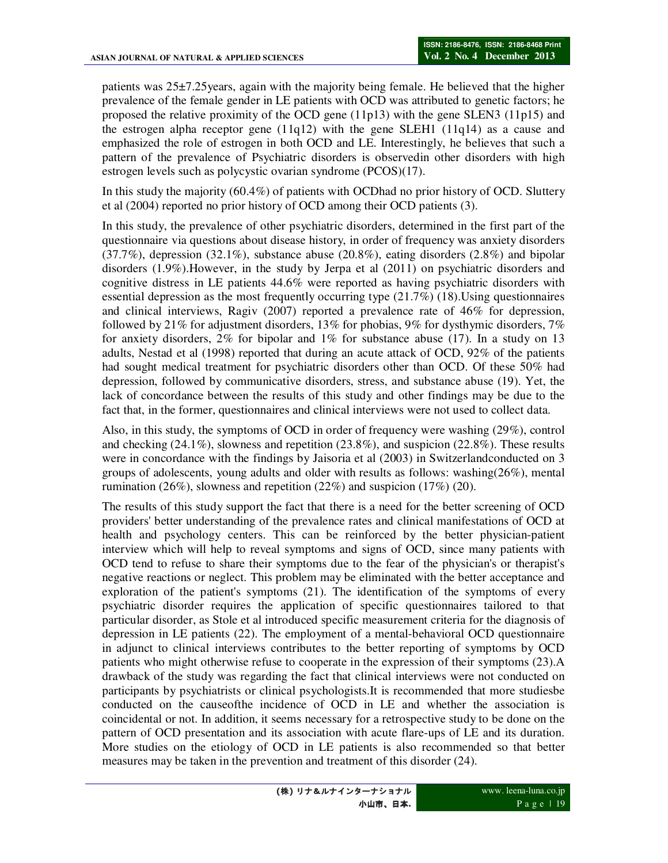patients was 25±7.25years, again with the majority being female. He believed that the higher prevalence of the female gender in LE patients with OCD was attributed to genetic factors; he proposed the relative proximity of the OCD gene (11p13) with the gene SLEN3 (11p15) and the estrogen alpha receptor gene (11q12) with the gene SLEH1 (11q14) as a cause and emphasized the role of estrogen in both OCD and LE. Interestingly, he believes that such a pattern of the prevalence of Psychiatric disorders is observedin other disorders with high estrogen levels such as polycystic ovarian syndrome (PCOS)(17).

In this study the majority (60.4%) of patients with OCDhad no prior history of OCD. Sluttery et al (2004) reported no prior history of OCD among their OCD patients (3).

In this study, the prevalence of other psychiatric disorders, determined in the first part of the questionnaire via questions about disease history, in order of frequency was anxiety disorders  $(37.7\%)$ , depression  $(32.1\%)$ , substance abuse  $(20.8\%)$ , eating disorders  $(2.8\%)$  and bipolar disorders (1.9%).However, in the study by Jerpa et al (2011) on psychiatric disorders and cognitive distress in LE patients 44.6% were reported as having psychiatric disorders with essential depression as the most frequently occurring type (21.7%) (18).Using questionnaires and clinical interviews, Ragiv (2007) reported a prevalence rate of 46% for depression, followed by 21% for adjustment disorders, 13% for phobias, 9% for dysthymic disorders, 7% for anxiety disorders,  $2\%$  for bipolar and  $1\%$  for substance abuse (17). In a study on 13 adults, Nestad et al (1998) reported that during an acute attack of OCD, 92% of the patients had sought medical treatment for psychiatric disorders other than OCD. Of these 50% had depression, followed by communicative disorders, stress, and substance abuse (19). Yet, the lack of concordance between the results of this study and other findings may be due to the fact that, in the former, questionnaires and clinical interviews were not used to collect data.

Also, in this study, the symptoms of OCD in order of frequency were washing (29%), control and checking (24.1%), slowness and repetition (23.8%), and suspicion (22.8%). These results were in concordance with the findings by Jaisoria et al (2003) in Switzerlandconducted on 3 groups of adolescents, young adults and older with results as follows: washing(26%), mental rumination (26%), slowness and repetition (22%) and suspicion (17%) (20).

The results of this study support the fact that there is a need for the better screening of OCD providers' better understanding of the prevalence rates and clinical manifestations of OCD at health and psychology centers. This can be reinforced by the better physician-patient interview which will help to reveal symptoms and signs of OCD, since many patients with OCD tend to refuse to share their symptoms due to the fear of the physician's or therapist's negative reactions or neglect. This problem may be eliminated with the better acceptance and exploration of the patient's symptoms (21). The identification of the symptoms of every psychiatric disorder requires the application of specific questionnaires tailored to that particular disorder, as Stole et al introduced specific measurement criteria for the diagnosis of depression in LE patients (22). The employment of a mental-behavioral OCD questionnaire in adjunct to clinical interviews contributes to the better reporting of symptoms by OCD patients who might otherwise refuse to cooperate in the expression of their symptoms (23).A drawback of the study was regarding the fact that clinical interviews were not conducted on participants by psychiatrists or clinical psychologists.It is recommended that more studiesbe conducted on the causeofthe incidence of OCD in LE and whether the association is coincidental or not. In addition, it seems necessary for a retrospective study to be done on the pattern of OCD presentation and its association with acute flare-ups of LE and its duration. More studies on the etiology of OCD in LE patients is also recommended so that better measures may be taken in the prevention and treatment of this disorder (24).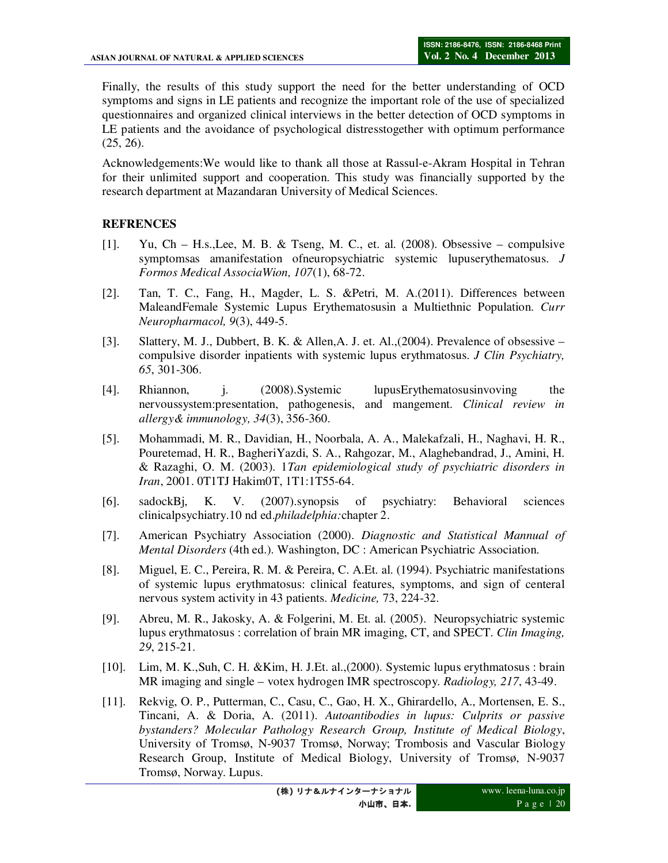Finally, the results of this study support the need for the better understanding of OCD symptoms and signs in LE patients and recognize the important role of the use of specialized questionnaires and organized clinical interviews in the better detection of OCD symptoms in LE patients and the avoidance of psychological distresstogether with optimum performance (25, 26).

Acknowledgements:We would like to thank all those at Rassul-e-Akram Hospital in Tehran for their unlimited support and cooperation. This study was financially supported by the research department at Mazandaran University of Medical Sciences.

## **REFRENCES**

- [1]. Yu, Ch H.s.,Lee, M. B. & Tseng, M. C., et. al. (2008). Obsessive compulsive symptomsas amanifestation ofneuropsychiatric systemic lupuserythematosus. *J Formos Medical AssociaWion, 107*(1), 68-72.
- [2]. Tan, T. C., Fang, H., Magder, L. S. &Petri, M. A.(2011). Differences between MaleandFemale Systemic Lupus Erythematosusin a Multiethnic Population. *Curr Neuropharmacol, 9*(3), 449-5.
- [3]. Slattery, M. J., Dubbert, B. K. & Allen,A. J. et. Al.,(2004). Prevalence of obsessive compulsive disorder inpatients with systemic lupus erythmatosus. *J Clin Psychiatry, 65*, 301-306.
- [4]. Rhiannon, j. (2008).Systemic lupusErythematosusinvoving the nervoussystem:presentation, pathogenesis, and mangement. *Clinical review in allergy& immunology, 34*(3), 356-360.
- [5]. Mohammadi, M. R., Davidian, H., Noorbala, A. A., Malekafzali, H., Naghavi, H. R., Pouretemad, H. R., BagheriYazdi, S. A., Rahgozar, M., Alaghebandrad, J., Amini, H. & Razaghi, O. M. (2003). 1*Tan epidemiological study of psychiatric disorders in Iran*, 2001. 0T1TJ Hakim0T, 1T1:1T55-64.
- [6]. sadockBj, K. V. (2007).synopsis of psychiatry: Behavioral sciences clinicalpsychiatry.10 nd ed.*philadelphia:*chapter 2.
- [7]. American Psychiatry Association (2000). *Diagnostic and Statistical Mannual of Mental Disorders* (4th ed.). Washington, DC : American Psychiatric Association.
- [8]. Miguel, E. C., Pereira, R. M. & Pereira, C. A.Et. al. (1994). Psychiatric manifestations of systemic lupus erythmatosus: clinical features, symptoms, and sign of centeral nervous system activity in 43 patients. *Medicine,* 73, 224-32.
- [9]. Abreu, M. R., Jakosky, A. & Folgerini, M. Et. al. (2005). Neuropsychiatric systemic lupus erythmatosus : correlation of brain MR imaging, CT, and SPECT. *Clin Imaging, 29*, 215-21.
- [10]. Lim, M. K.,Suh, C. H. &Kim, H. J.Et. al.,(2000). Systemic lupus erythmatosus : brain MR imaging and single – votex hydrogen IMR spectroscopy. *Radiology, 217*, 43-49.
- [11]. Rekvig, O. P., Putterman, C., Casu, C., Gao, H. X., Ghirardello, A., Mortensen, E. S., Tincani, A. & Doria, A. (2011). *Autoantibodies in lupus: Culprits or passive bystanders? Molecular Pathology Research Group, Institute of Medical Biology*, University of Tromsø, N-9037 Tromsø, Norway; Trombosis and Vascular Biology Research Group, Institute of Medical Biology, University of Tromsø, N-9037 Tromsø, Norway. Lupus.